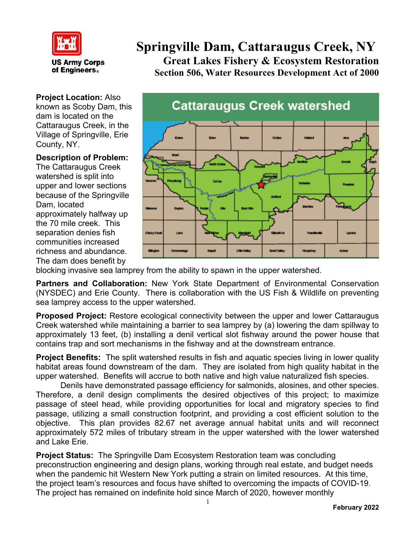

**US Army Corps** of Engineers.

**Project Location:** Also known as Scoby Dam, this dam is located on the Cattaraugus Creek, in the Village of Springville, Erie County, NY.

## **Description of Problem:**

The Cattaraugus Creek watershed is split into upper and lower sections because of the Springville Dam, located approximately halfway up the 70 mile creek. This separation denies fish communities increased richness and abundance. The dam does benefit by

## **Springville Dam, Cattaraugus Creek, NY Great Lakes Fishery & Ecosystem Restoration Section 506, Water Resources Development Act of 2000**



blocking invasive sea lamprey from the ability to spawn in the upper watershed.

**Partners and Collaboration:** New York State Department of Environmental Conservation (NYSDEC) and Erie County. There is collaboration with the US Fish & Wildlife on preventing sea lamprey access to the upper watershed.

**Proposed Project:** Restore ecological connectivity between the upper and lower Cattaraugus Creek watershed while maintaining a barrier to sea lamprey by (a) lowering the dam spillway to approximately 13 feet, (b) installing a denil vertical slot fishway around the power house that contains trap and sort mechanisms in the fishway and at the downstream entrance.

**Project Benefits:** The split watershed results in fish and aquatic species living in lower quality habitat areas found downstream of the dam. They are isolated from high quality habitat in the upper watershed. Benefits will accrue to both native and high value naturalized fish species.

Denils have demonstrated passage efficiency for salmonids, alosines, and other species. Therefore, a denil design compliments the desired objectives of this project; to maximize passage of steel head, while providing opportunities for local and migratory species to find passage, utilizing a small construction footprint, and providing a cost efficient solution to the objective. This plan provides 82.67 net average annual habitat units and will reconnect approximately 572 miles of tributary stream in the upper watershed with the lower watershed and Lake Erie.

**Project Status:** The Springville Dam Ecosystem Restoration team was concluding preconstruction engineering and design plans, working through real estate, and budget needs when the pandemic hit Western New York putting a strain on limited resources. At this time, the project team's resources and focus have shifted to overcoming the impacts of COVID-19. The project has remained on indefinite hold since March of 2020, however monthly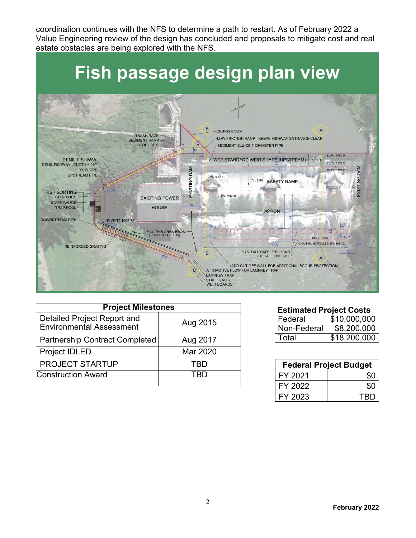coordination continues with the NFS to determine a path to restart. As of February 2022 a Value Engineering review of the design has concluded and proposals to mitigate cost and real estate obstacles are being explored with the NFS.



| <b>Project Milestones</b>                                      |          |  |
|----------------------------------------------------------------|----------|--|
| Detailed Project Report and<br><b>Environmental Assessment</b> | Aug 2015 |  |
| Partnership Contract Completed                                 | Aug 2017 |  |
| Project IDLED                                                  | Mar 2020 |  |
| <b>PROJECT STARTUP</b>                                         | TRD      |  |
| <b>Construction Award</b>                                      |          |  |

| <b>Estimated Project Costs</b> |              |  |
|--------------------------------|--------------|--|
| Federal                        | \$10,000,000 |  |
| Non-Federal                    | \$8,200,000  |  |
| Total                          | \$18,200,000 |  |

| <b>Federal Project Budget</b> |     |
|-------------------------------|-----|
| FY 2021                       |     |
| FY 2022                       |     |
| FY 2023                       | TRD |